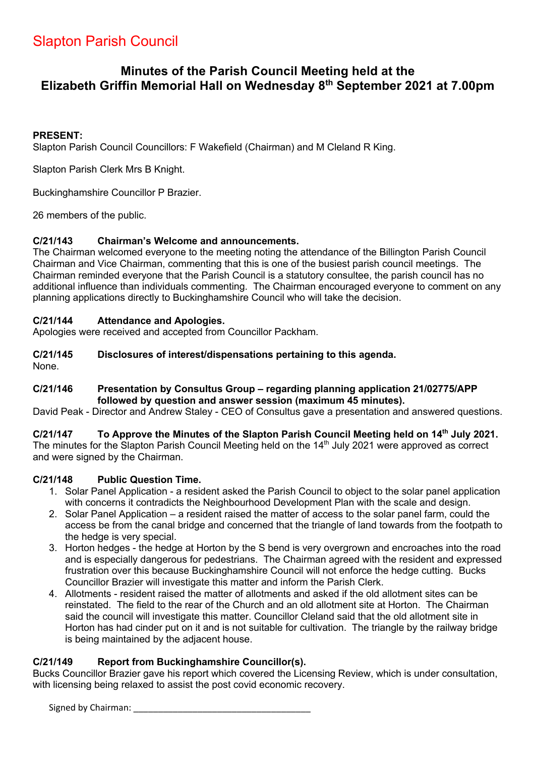# Slapton Parish Council

## **Minutes of the Parish Council Meeting held at the Elizabeth Griffin Memorial Hall on Wednesday 8th September 2021 at 7.00pm**

## **PRESENT:**

Slapton Parish Council Councillors: F Wakefield (Chairman) and M Cleland R King.

Slapton Parish Clerk Mrs B Knight.

Buckinghamshire Councillor P Brazier.

26 members of the public.

## **C/21/143 Chairman's Welcome and announcements.**

The Chairman welcomed everyone to the meeting noting the attendance of the Billington Parish Council Chairman and Vice Chairman, commenting that this is one of the busiest parish council meetings. The Chairman reminded everyone that the Parish Council is a statutory consultee, the parish council has no additional influence than individuals commenting. The Chairman encouraged everyone to comment on any planning applications directly to Buckinghamshire Council who will take the decision.

## **C/21/144 Attendance and Apologies.**

Apologies were received and accepted from Councillor Packham.

## **C/21/145 Disclosures of interest/dispensations pertaining to this agenda.**

None.

## **C/21/146 Presentation by Consultus Group – regarding planning application 21/02775/APP followed by question and answer session (maximum 45 minutes).**

David Peak - Director and Andrew Staley - CEO of Consultus gave a presentation and answered questions.

## **C/21/147 To Approve the Minutes of the Slapton Parish Council Meeting held on 14th July 2021.**

The minutes for the Slapton Parish Council Meeting held on the 14<sup>th</sup> July 2021 were approved as correct and were signed by the Chairman.

## **C/21/148 Public Question Time.**

- 1. Solar Panel Application a resident asked the Parish Council to object to the solar panel application with concerns it contradicts the Neighbourhood Development Plan with the scale and design.
- 2. Solar Panel Application a resident raised the matter of access to the solar panel farm, could the access be from the canal bridge and concerned that the triangle of land towards from the footpath to the hedge is very special.
- 3. Horton hedges the hedge at Horton by the S bend is very overgrown and encroaches into the road and is especially dangerous for pedestrians. The Chairman agreed with the resident and expressed frustration over this because Buckinghamshire Council will not enforce the hedge cutting. Bucks Councillor Brazier will investigate this matter and inform the Parish Clerk.
- 4. Allotments resident raised the matter of allotments and asked if the old allotment sites can be reinstated. The field to the rear of the Church and an old allotment site at Horton. The Chairman said the council will investigate this matter. Councillor Cleland said that the old allotment site in Horton has had cinder put on it and is not suitable for cultivation. The triangle by the railway bridge is being maintained by the adjacent house.

## **C/21/149 Report from Buckinghamshire Councillor(s).**

Bucks Councillor Brazier gave his report which covered the Licensing Review, which is under consultation, with licensing being relaxed to assist the post covid economic recovery.

Signed by Chairman: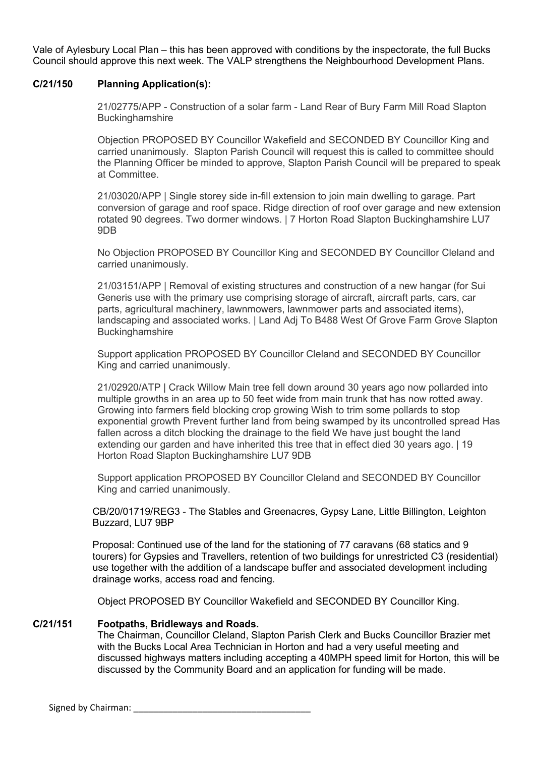Vale of Aylesbury Local Plan – this has been approved with conditions by the inspectorate, the full Bucks Council should approve this next week. The VALP strengthens the Neighbourhood Development Plans.

#### **C/21/150 Planning Application(s):**

21/02775/APP - Construction of a solar farm - Land Rear of Bury Farm Mill Road Slapton **Buckinghamshire** 

Objection PROPOSED BY Councillor Wakefield and SECONDED BY Councillor King and carried unanimously. Slapton Parish Council will request this is called to committee should the Planning Officer be minded to approve, Slapton Parish Council will be prepared to speak at Committee.

21/03020/APP | Single storey side in-fill extension to join main dwelling to garage. Part conversion of garage and roof space. Ridge direction of roof over garage and new extension rotated 90 degrees. Two dormer windows. | 7 Horton Road Slapton Buckinghamshire LU7 9DB

No Objection PROPOSED BY Councillor King and SECONDED BY Councillor Cleland and carried unanimously.

21/03151/APP | Removal of existing structures and construction of a new hangar (for Sui Generis use with the primary use comprising storage of aircraft, aircraft parts, cars, car parts, agricultural machinery, lawnmowers, lawnmower parts and associated items), landscaping and associated works. | Land Adj To B488 West Of Grove Farm Grove Slapton **Buckinghamshire** 

Support application PROPOSED BY Councillor Cleland and SECONDED BY Councillor King and carried unanimously.

21/02920/ATP | Crack Willow Main tree fell down around 30 years ago now pollarded into multiple growths in an area up to 50 feet wide from main trunk that has now rotted away. Growing into farmers field blocking crop growing Wish to trim some pollards to stop exponential growth Prevent further land from being swamped by its uncontrolled spread Has fallen across a ditch blocking the drainage to the field We have just bought the land extending our garden and have inherited this tree that in effect died 30 years ago. | 19 Horton Road Slapton Buckinghamshire LU7 9DB

Support application PROPOSED BY Councillor Cleland and SECONDED BY Councillor King and carried unanimously.

CB/20/01719/REG3 - The Stables and Greenacres, Gypsy Lane, Little Billington, Leighton Buzzard, LU7 9BP

Proposal: Continued use of the land for the stationing of 77 caravans (68 statics and 9 tourers) for Gypsies and Travellers, retention of two buildings for unrestricted C3 (residential) use together with the addition of a landscape buffer and associated development including drainage works, access road and fencing.

Object PROPOSED BY Councillor Wakefield and SECONDED BY Councillor King.

#### **C/21/151 Footpaths, Bridleways and Roads.**

The Chairman, Councillor Cleland, Slapton Parish Clerk and Bucks Councillor Brazier met with the Bucks Local Area Technician in Horton and had a very useful meeting and discussed highways matters including accepting a 40MPH speed limit for Horton, this will be discussed by the Community Board and an application for funding will be made.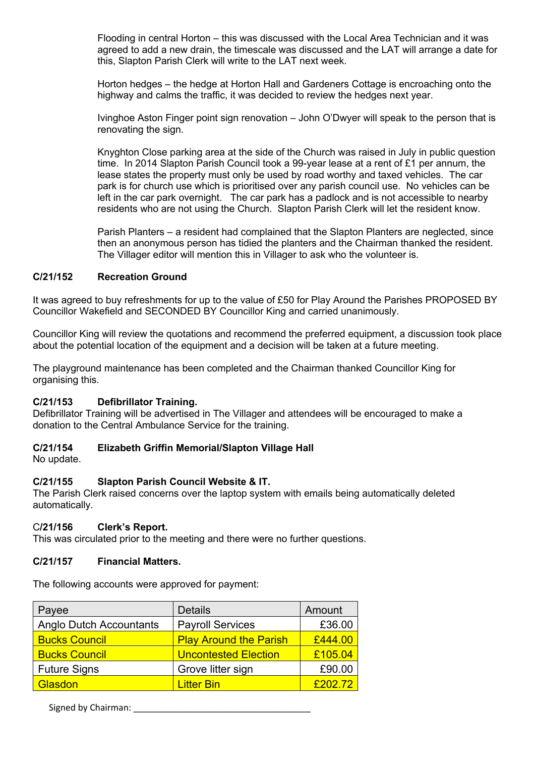Flooding in central Horton – this was discussed with the Local Area Technician and it was agreed to add a new drain, the timescale was discussed and the LAT will arrange a date for this, Slapton Parish Clerk will write to the LAT next week.

Horton hedges – the hedge at Horton Hall and Gardeners Cottage is encroaching onto the highway and calms the traffic, it was decided to review the hedges next year.

Ivinghoe Aston Finger point sign renovation – John O'Dwyer will speak to the person that is renovating the sign.

Knyghton Close parking area at the side of the Church was raised in July in public question time. In 2014 Slapton Parish Council took a 99-year lease at a rent of £1 per annum, the lease states the property must only be used by road worthy and taxed vehicles. The car park is for church use which is prioritised over any parish council use. No vehicles can be left in the car park overnight. The car park has a padlock and is not accessible to nearby residents who are not using the Church. Slapton Parish Clerk will let the resident know.

Parish Planters – a resident had complained that the Slapton Planters are neglected, since then an anonymous person has tidied the planters and the Chairman thanked the resident. The Villager editor will mention this in Villager to ask who the volunteer is.

## **C/21/152 Recreation Ground**

It was agreed to buy refreshments for up to the value of £50 for Play Around the Parishes PROPOSED BY Councillor Wakefield and SECONDED BY Councillor King and carried unanimously.

Councillor King will review the quotations and recommend the preferred equipment, a discussion took place about the potential location of the equipment and a decision will be taken at a future meeting.

The playground maintenance has been completed and the Chairman thanked Councillor King for organising this.

#### **C/21/153 Defibrillator Training.**

Defibrillator Training will be advertised in The Villager and attendees will be encouraged to make a donation to the Central Ambulance Service for the training.

## **C/21/154 Elizabeth Griffin Memorial/Slapton Village Hall**

No update.

## **C/21/155 Slapton Parish Council Website & IT.**

The Parish Clerk raised concerns over the laptop system with emails being automatically deleted automatically.

#### C**/21/156 Clerk's Report.**

This was circulated prior to the meeting and there were no further questions.

#### **C/21/157 Financial Matters.**

The following accounts were approved for payment:

| Payee                          | <b>Details</b>                | Amount  |
|--------------------------------|-------------------------------|---------|
| <b>Anglo Dutch Accountants</b> | <b>Payroll Services</b>       | £36.00  |
| <b>Bucks Council</b>           | <b>Play Around the Parish</b> | £444.00 |
| <b>Bucks Council</b>           | <b>Uncontested Election</b>   | £105.04 |
| <b>Future Signs</b>            | Grove litter sign             | £90.00  |
| Glasdon                        | <b>Litter Bin</b>             | £202.72 |

Signed by Chairman: